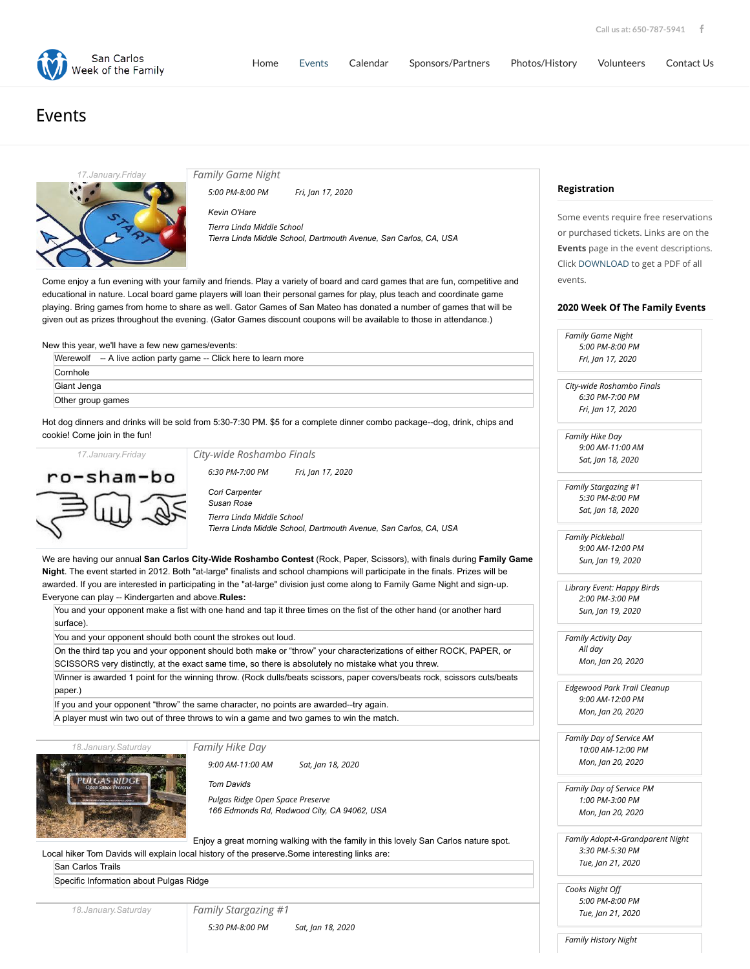



## Events



*[Family Game Night](http://sancarlosweekofthefamily.org/event/family-game-night/2020-01-17/)*

*5:00 PM-8:00 PM Fri, Jan 17, 2020*

*[Kevin O'Hare](http://sancarlosweekofthefamily.org/organizer/kevin-ohare/)*

*[Tierra Linda Middle School](http://sancarlosweekofthefamily.org/venue/tierra-linda-middle-school/) Tierra Linda Middle School, Dartmouth Avenue, San Carlos, CA, USA*

Come enjoy a fun evening with your family and friends. Play a variety of board and card games that are fun, competitive and educational in nature. Local board game players will loan their personal games for play, plus teach and coordinate game playing. Bring games from home to share as well. Gator Games of San Mateo has donated a number of games that will be given out as prizes throughout the evening. (Gator Games discount coupons will be available to those in attendance.)

New this year, we'll have a few new games/events:

|                   | Werewolf -- A live action party game -- Click here to learn more |
|-------------------|------------------------------------------------------------------|
| Cornhole          |                                                                  |
| Giant Jenga       |                                                                  |
| Other group games |                                                                  |

Hot dog dinners and drinks will be sold from 5:30-7:30 PM. \$5 for a complete dinner combo packa cookie! Come join in the fun!



*17.January.Friday*

*[City-wide Roshambo Finals](http://sancarlosweekofthefamily.org/event/city-wide-roshambo-finals/2020-01-17/)*

*6:30 PM-7:00 PM Fri, Jan 17, 2020*

*[Cori Carpenter](http://sancarlosweekofthefamily.org/organizer/cori-carpenter/) [Susan Rose](http://sancarlosweekofthefamily.org/organizer/susan-rose/) [Tierra Linda Middle School](http://sancarlosweekofthefamily.org/venue/tierra-linda-middle-school/) Tierra Linda Middle School, Dartmouth Avenue, San Carlos, CA, USA*

We are having our annual **San Carlos City-Wide Roshambo Contest** (Rock, Paper, Scissors), w **Night**. The event started in 2012. Both "at-large" finalists and school champions will participate in awarded. If you are interested in participating in the "at-large" division just come along to Family ( Everyone can play -- Kindergarten and above.**Rules:**

You and your opponent make a fist with one hand and tap it three times on the fist of the other surface).

You and your opponent should both count the strokes out loud.

On the third tap you and your opponent should both make or "throw" your characterizations of SCISSORS very distinctly, at the exact same time, so there is absolutely no mistake what you

Winner is awarded 1 point for the winning throw. (Rock dulls/beats scissors, paper covers/beats paper.)

If you and your opponent "throw" the same character, no points are awarded--try again. A player must win two out of three throws to win a game and two games to win the match.

*18.January.Saturday*

*[Family Hike Day](http://sancarlosweekofthefamily.org/event/family-hike-day-am-2/2020-01-18/)*



*9:00 AM-11:00 AM Sat, Jan 18, 2020*

*[Tom Davids](http://sancarlosweekofthefamily.org/organizer/tom-davids/) [Pulgas Ridge Open Space Preserve](http://sancarlosweekofthefamily.org/venue/pulgas-ridge-open-space-preserve/) 166 Edmonds Rd, Redwood City, CA 94062, USA*

Enjoy a great morning walking with the family in this lovely Local hiker Tom Davids will explain local history of the preserve.Some interesting links are:

[San Carlos Trails](http://www.cityofsancarlos.org/depts/pr/prksfac/park_information/hiking_trails/)

[Specific Information about Pulgas Ridge](http://www.cityofsancarlos.org/depts/pr/prksfac/park_information/hiking_trails/pulgas_ridge_open_space_preserve_trail.asp)

*18.January.Saturday*

*[Family Stargazing #1](http://sancarlosweekofthefamily.org/event/family-stargazing/2020-01-18/)*

*5:30 PM-8:00 PM Sat, Jan 18, 2020*

**Registration**

Some events require free reservations or purchased tickets. Links are on the **Events** page in the event descriptions. Click [DOWNLOAD](http://sancarlosweekofthefamily.org/wp-content/uploads/2020/01/200114-Week-of-the-Family-Events.pdf) to get a PDF of all events.

## **2020 Week Of The Family Events**

|                                | <b>Family Game Night</b>             |
|--------------------------------|--------------------------------------|
|                                | 5:00 PM-8:00 PM                      |
|                                | Fri, Jan 17, 2020                    |
|                                |                                      |
|                                | City-wide Roshambo Finals            |
|                                | 6:30 PM-7:00 PM                      |
|                                | Fri, Jan 17, 2020                    |
| age--dog, drink, chips and     |                                      |
|                                | Family Hike Day                      |
|                                | 9:00 AM-11:00 AM                     |
|                                | Sat, Jan 18, 2020                    |
|                                | Family Stargazing #1                 |
|                                |                                      |
|                                | 5:30 PM-8:00 PM<br>Sat, Jan 18, 2020 |
|                                |                                      |
| 'os, CA, USA                   | <b>Family Pickleball</b>             |
|                                | 9:00 AM-12:00 PM                     |
| with finals during Family Game | Sun, Jan 19, 2020                    |
| n the finals. Prizes will be   |                                      |
| Game Night and sign-up.        | Library Event: Happy Birds           |
|                                | 2:00 PM-3:00 PM                      |
| r hand (or another hard        | Sun, Jan 19, 2020                    |
|                                |                                      |
|                                | Family Activity Day                  |
| f either ROCK, PAPER, or       | All day<br>Mon, Jan 20, 2020         |
| threw.                         |                                      |
| ats rock, scissors cuts/beats  | <b>Edgewood Park Trail Cleanup</b>   |
|                                | 9:00 AM-12:00 PM                     |
|                                | Mon, Jan 20, 2020                    |
|                                |                                      |
|                                | Family Day of Service AM             |
|                                | 10:00 AM-12:00 PM                    |
|                                | Mon, Jan 20, 2020                    |
|                                |                                      |
|                                | Family Day of Service PM             |
|                                | 1:00 PM-3:00 PM                      |
|                                | Mon, Jan 20, 2020                    |
| y San Carlos nature spot.      | Family Adopt-A-Grandparent Night     |
|                                | 3:30 PM-5:30 PM                      |
|                                | Tue, Jan 21, 2020                    |
|                                |                                      |
|                                | Cooks Night Off                      |
|                                | 5:00 PM-8:00 PM                      |
|                                | Tue, Jan 21, 2020                    |

*Family History Night*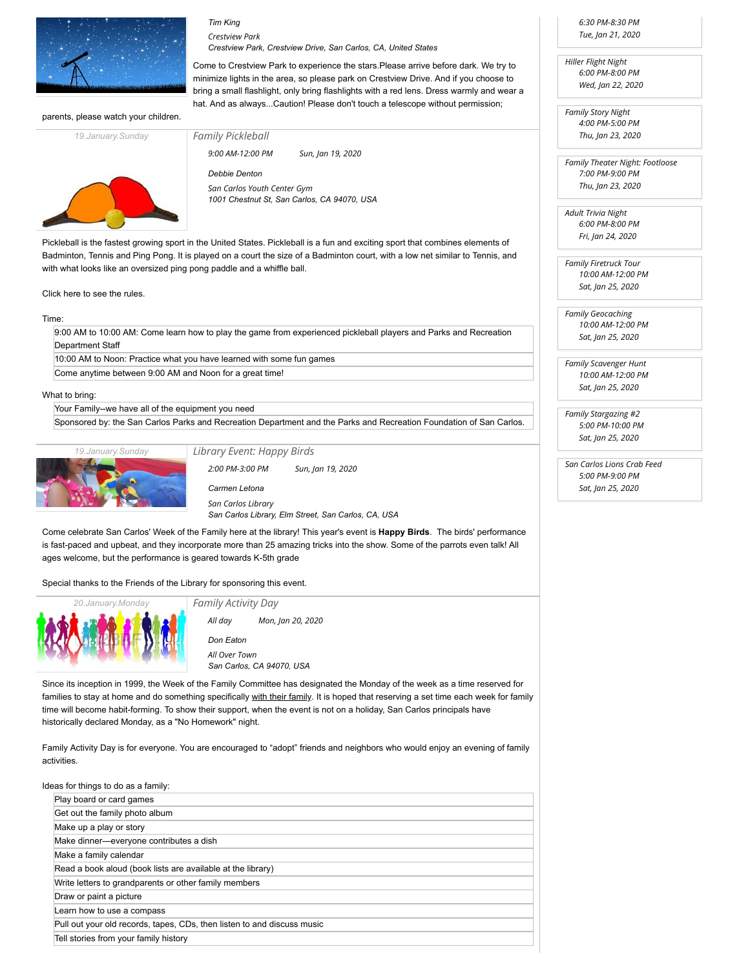

## *[Tim King](http://sancarlosweekofthefamily.org/organizer/tim-king/) [Crestview Park](http://sancarlosweekofthefamily.org/venue/crestview-park/)*

*[Family Pickleball](http://sancarlosweekofthefamily.org/event/family-pickle-ball-tournament/2020-01-19/)*

*Crestview Park, Crestview Drive, San Carlos, CA, United States*

Come to Crestview Park to experience the stars.Please arrive before dark. We try to minimize lights in the area, so please park on Crestview Drive. And if you choose to bring a small flashlight, only bring flashlights with a red lens. Dress warmly and wear a hat. And as always...Caution! Please don't touch a telescope without permission:

parents, please watch your children.



*9:00 AM-12:00 PM Sun, Jan 19, 2020*

*[Debbie Denton](http://sancarlosweekofthefamily.org/organizer/debbie-denton/) [San Carlos Youth Center Gym](http://sancarlosweekofthefamily.org/venue/san-carlos-youth-center/) 1001 Chestnut St, San Carlos, CA 94070, USA*

Pickleball is the fastest growing sport in the United States. Pickleball is a fun and exciting sport that combines elements of Badminton, Tennis and Ping Pong. It is played on a court the size of a Badminton court, with a low net similar to Tennis, and with what looks like an oversized ping pong paddle and a whiffle ball.

[Click here to see the rules.](https://www.paddleballgalaxy.com/PG/category/pickleballrules.html)

Time:

9:00 AM to 10:00 AM: Come learn how to play the game from experienced pickleball players and Parks and Recreation Department Staff

10:00 AM to Noon: Practice what you have learned with some fun games

Come anytime between 9:00 AM and Noon for a great time!

What to bring:

Your Family--we have all of the equipment you need

Sponsored by: the San Carlos Parks and Recreation Department and the Parks and Recreation Foundation of San Carlos.



*[Library Event: Happy Birds](http://sancarlosweekofthefamily.org/event/library-event/2020-01-19/)*

*2:00 PM-3:00 PM Sun, Jan 19, 2020*

*[Carmen Letona](http://sancarlosweekofthefamily.org/organizer/carmen-letona/) [San Carlos Library](http://sancarlosweekofthefamily.org/venue/san-carlos-library/)*

*San Carlos Library, Elm Street, San Carlos, CA, USA*

Come celebrate San Carlos' Week of the Family here at the library! This year's event is **Happy Birds**. The birds' performance is fast-paced and upbeat, and they incorporate more than 25 amazing tricks into the show. Some of the parrots even talk! All ages welcome, but the performance is geared towards K-5th grade

Special thanks to the Friends of the Library for sponsoring this event.



*[Don Eaton](http://sancarlosweekofthefamily.org/organizer/don-eaton/) [All Over Town](http://sancarlosweekofthefamily.org/venue/all-over-town/) San Carlos, CA 94070, USA All day Mon, Jan 20, 2020*

Since its inception in 1999, the Week of the Family Committee has designated the Monday of the week as a time reserved for families to stay at home and do something specifically with their family. It is hoped that reserving a set time each week for family time will become habit-forming. To show their support, when the event is not on a holiday, San Carlos principals have historically declared Monday, as a "No Homework" night.

Family Activity Day is for everyone. You are encouraged to "adopt" friends and neighbors who would enjoy an evening of family activities.

| Ideas for things to do as a family:                                     |  |
|-------------------------------------------------------------------------|--|
| Play board or card games                                                |  |
| Get out the family photo album                                          |  |
| Make up a play or story                                                 |  |
| Make dinner-everyone contributes a dish                                 |  |
| Make a family calendar                                                  |  |
| Read a book aloud (book lists are available at the library)             |  |
| Write letters to grandparents or other family members                   |  |
| Draw or paint a picture                                                 |  |
| Learn how to use a compass                                              |  |
| Pull out your old records, tapes, CDs, then listen to and discuss music |  |
| Tell stories from your family history                                   |  |

*6:30 PM-8:30 PM Tue, Jan 21, 2020*

*Hiller Flight Night 6:00 PM-8:00 PM Wed, Jan 22, 2020*

*Family Story Night 4:00 PM-5:00 PM Thu, Jan 23, 2020*

*Family Theater Night: Footloose 7:00 PM-9:00 PM Thu, Jan 23, 2020*

*Adult Trivia Night 6:00 PM-8:00 PM Fri, Jan 24, 2020*

*Family Firetruck Tour 10:00 AM-12:00 PM Sat, Jan 25, 2020*

*Family Geocaching 10:00 AM-12:00 PM Sat, Jan 25, 2020*

*Family Scavenger Hunt 10:00 AM-12:00 PM Sat, Jan 25, 2020*

*Family Stargazing #2 5:00 PM-10:00 PM Sat, Jan 25, 2020*

*San Carlos Lions Crab Feed 5:00 PM-9:00 PM Sat, Jan 25, 2020*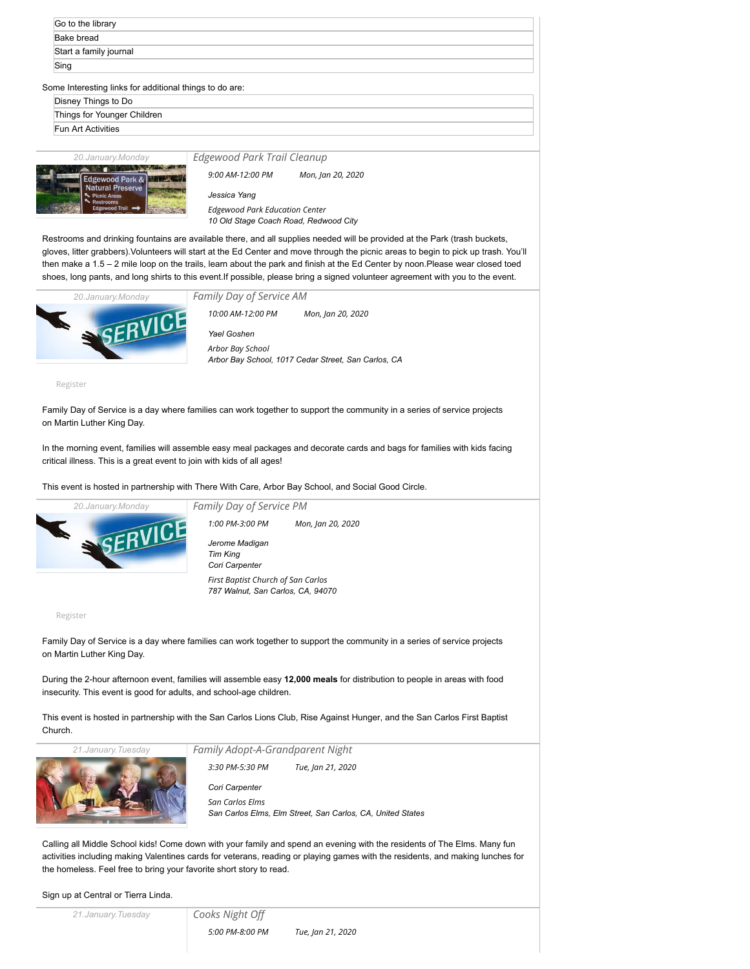| Go to the library                                       |                             |                 |  |
|---------------------------------------------------------|-----------------------------|-----------------|--|
| Bake bread                                              |                             |                 |  |
| Start a family journal                                  |                             |                 |  |
| Sing                                                    |                             |                 |  |
| Some Interesting links for additional things to do are: |                             |                 |  |
| Disney Things to Do                                     |                             |                 |  |
| Things for Younger Children                             |                             |                 |  |
| Fun Art Activities                                      |                             |                 |  |
|                                                         |                             |                 |  |
| 20. January. Monday                                     | Edgewood Park Trail Cleanup |                 |  |
| $F = 1$                                                 | $9.00$ AM-12 $.00$ PM       | Mon Jan 20 2020 |  |

| <b>Edgewood Park &amp;</b><br><b>Natural Preserve</b><br>Picnic Areas<br><b>Restrooms</b><br><b>Edgewood Trail</b> |  |
|--------------------------------------------------------------------------------------------------------------------|--|

*9:00 AM-12:00 PM Mon, Jan 20, 2020*

*[Jessica Yang](http://sancarlosweekofthefamily.org/organizer/jessica-yang/) [Edgewood Park Education Center](http://sancarlosweekofthefamily.org/venue/edgewood-park-education-center/) 10 Old Stage Coach Road, Redwood City*

Restrooms and drinking fountains are available there, and all supplies needed will be provided at the Park (trash buckets, gloves, litter grabbers).Volunteers will start at the Ed Center and move through the picnic areas to begin to pick up trash. You'll then make a 1.5 – 2 mile loop on the trails, learn about the park and finish at the Ed Center by noon.Please wear closed toed shoes, long pants, and long shirts to this event.If possible, please bring a signed [volunteer agreement](https://parks.smcgov.org/sites/parks.smcgov.org/files/documents/files/SMC-Parks-Volunteer-Agreement-2017.pdf) with you to the event.



*[Family Day of Service AM](http://sancarlosweekofthefamily.org/event/day-of-service-for-mlk-day/2020-01-20/) [Yael Goshen](http://sancarlosweekofthefamily.org/organizer/yael-goshen/) [Arbor Bay School](http://sancarlosweekofthefamily.org/venue/arbor-bay-school/) Arbor Bay School, 1017 Cedar Street, San Carlos, CA 10:00 AM-12:00 PM Mon, Jan 20, 2020*

[Register](https://www.eventbrite.com/e/2020-day-of-service-for-mlk-day-am-event-there-with-care-tickets-89503504391?ref=elink)

Family Day of Service is a day where families can work together to support the community in a series of service projects on Martin Luther King Day.

In the morning event, families will assemble easy meal packages and decorate cards and bags for families with kids facing critical illness. This is a great event to join with kids of all ages!

This event is hosted in partnership with [There With Care](https://bayarea.therewithcare.org/), [Arbor Bay School](https://www.arborbayschool.org/), and [Social Good Circle.](https://socialgoodcircle.org/)



*[Family Day of Service PM](http://sancarlosweekofthefamily.org/event/day-of-service-for-mlk-day-2/2020-01-20/)*

*1:00 PM-3:00 PM Mon, Jan 20, 2020*

*[Jerome Madigan](http://sancarlosweekofthefamily.org/organizer/jerome-madigan/) [Tim King](http://sancarlosweekofthefamily.org/organizer/tim-king/) [Cori Carpenter](http://sancarlosweekofthefamily.org/organizer/cori-carpenter/) [First Baptist Church of San Carlos](http://sancarlosweekofthefamily.org/venue/first-baptist-church-of-san-carlos/) 787 Walnut, San Carlos, CA, 94070*

[Register](https://www.eventbrite.com/e/2020-day-of-service-for-mlk-day-pm-event-rise-against-hunger-tickets-89504090143?ref=elink)

Family Day of Service is a day where families can work together to support the community in a series of service projects on Martin Luther King Day.

During the 2-hour afternoon event, families will assemble easy **12,000 meals** for distribution to people in areas with food insecurity. This event is good for adults, and school-age children.

This event is hosted in partnership with the [San Carlos Lions Club,](https://e-clubhouse.org/sites/sancarlosca/) [Rise Against Hunger,](https://www.riseagainsthunger.org/) and the San Carlos First Baptist Church.

*21.January.Tuesday*



*[Family Adopt-A-Grandparent Night](http://sancarlosweekofthefamily.org/event/family-adopt-a-grandparent-night/2020-01-21/)*

*3:30 PM-5:30 PM Tue, Jan 21, 2020*

*[Cori Carpenter](http://sancarlosweekofthefamily.org/organizer/cori-carpenter/) [San Carlos Elms](http://sancarlosweekofthefamily.org/venue/the-elms/) San Carlos Elms, Elm Street, San Carlos, CA, United States*

Calling all Middle School kids! Come down with your family and spend an evening with the residents of The Elms. Many fun activities including making Valentines cards for veterans, reading or playing games with the residents, and making lunches for the homeless. Feel free to bring your favorite short story to read.

Sign up at Central or Tierra Linda.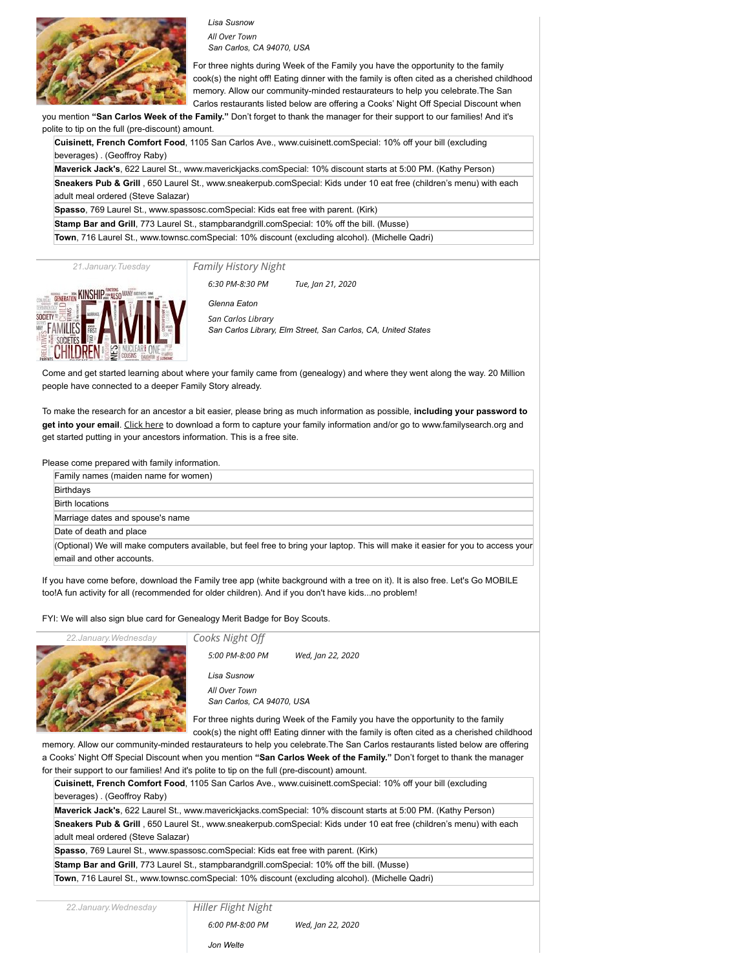

*[Lisa Susnow](http://sancarlosweekofthefamily.org/organizer/lisa-susnow/)*

*[All Over Town](http://sancarlosweekofthefamily.org/venue/all-over-town/) San Carlos, CA 94070, USA*

For three nights during Week of the Family you have the opportunity to the family cook(s) the night off! Eating dinner with the family is often cited as a cherished childhood memory. Allow our community-minded restaurateurs to help you celebrate.The San Carlos restaurants listed below are offering a Cooks' Night Off Special Discount when

you mention **"San Carlos Week of the Family."** Don't forget to thank the manager for their support to our families! And it's polite to tip on the full (pre-discount) amount.

**Cuisinett, French Comfort Food**, 1105 San Carlos Ave., [www.cuisinett.comS](http://cuisinett.com/)pecial: 10% off your bill (excluding beverages) . (Geoffroy Raby)

**Maverick Jack's**, 622 Laurel St., [www.maverickjacks.com](http://www.maverickjacks.com/)Special: 10% discount starts at 5:00 PM. (Kathy Person) **Sneakers Pub & Grill** , 650 Laurel St., [www.sneakerpub.comS](http://www.sneakerpub.com/)pecial: Kids under 10 eat free (children's menu) with each adult meal ordered (Steve Salazar)

**Spasso**, 769 Laurel St., [www.spassosc.com](http://www.spassosc.com/)Special: Kids eat free with parent. (Kirk)

**Stamp Bar and Grill**, 773 Laurel St., [stampbarandgrill.com](http://stampbarandgrill.com/)Special: 10% off the bill. (Musse)

**Town**, 716 Laurel St., [www.townsc.comS](http://www.townsc.com/)pecial: 10% discount (excluding alcohol). (Michelle Qadri)

*21.January.Tuesday*

*[Family History Night](http://sancarlosweekofthefamily.org/event/family-history-night/2020-01-21/)*



*6:30 PM-8:30 PM Tue, Jan 21, 2020*

*[Glenna Eaton](http://sancarlosweekofthefamily.org/organizer/glenna-eaton/) [San Carlos Library](http://sancarlosweekofthefamily.org/venue/san-carlos-library/) San Carlos Library, Elm Street, San Carlos, CA, United States*

Come and get started learning about where your family came from (genealogy) and where they went along the way. 20 Million people have connected to a deeper Family Story already.

To make the research for an ancestor a bit easier, please bring as much information as possible, **including your password to get into your email**. [Click here](http://www.sancarlosweekofthefamily.org/Docs/Pedigree.pdf) to download a form to capture your family information and/or go to [www.familysearch.org](http://www.familysearch.org/) and get started putting in your ancestors information. This is a free site.

Please come prepared with family information.

| Family names (maiden name for women)                                                                                                                          |
|---------------------------------------------------------------------------------------------------------------------------------------------------------------|
|                                                                                                                                                               |
| Birthdays                                                                                                                                                     |
| <b>Birth locations</b>                                                                                                                                        |
| Marriage dates and spouse's name                                                                                                                              |
| Date of death and place                                                                                                                                       |
| (Optional) We will make computers available, but feel free to bring your laptop. This will make it easier for you to access your<br>email and other accounts. |

If you have come before, download the Family tree app (white background with a tree on it). It is also free. Let's Go MOBILE too!A fun activity for all (recommended for older children). And if you don't have kids...no problem!

FYI: We will also sign blue card for Genealogy Merit Badge for Boy Scouts.



*[Cooks Night Off](http://sancarlosweekofthefamily.org/event/cooks-night-off/2020-01-22/) [Lisa Susnow](http://sancarlosweekofthefamily.org/organizer/lisa-susnow/) [All Over Town](http://sancarlosweekofthefamily.org/venue/all-over-town/) San Carlos, CA 94070, USA 5:00 PM-8:00 PM Wed, Jan 22, 2020*

For three nights during Week of the Family you have the opportunity to the family

cook(s) the night off! Eating dinner with the family is often cited as a cherished childhood memory. Allow our community-minded restaurateurs to help you celebrate.The San Carlos restaurants listed below are offering a Cooks' Night Off Special Discount when you mention **"San Carlos Week of the Family."** Don't forget to thank the manager for their support to our families! And it's polite to tip on the full (pre-discount) amount.

**Cuisinett, French Comfort Food**, 1105 San Carlos Ave., [www.cuisinett.comS](http://cuisinett.com/)pecial: 10% off your bill (excluding beverages) . (Geoffroy Raby) **Maverick Jack's**, 622 Laurel St., [www.maverickjacks.com](http://www.maverickjacks.com/)Special: 10% discount starts at 5:00 PM. (Kathy Person) **Sneakers Pub & Grill** , 650 Laurel St., [www.sneakerpub.comS](http://www.sneakerpub.com/)pecial: Kids under 10 eat free (children's menu) with each adult meal ordered (Steve Salazar) **Spasso**, 769 Laurel St., [www.spassosc.com](http://www.spassosc.com/)Special: Kids eat free with parent. (Kirk) **Stamp Bar and Grill**, 773 Laurel St., [stampbarandgrill.com](http://stampbarandgrill.com/)Special: 10% off the bill. (Musse)

**Town**, 716 Laurel St., [www.townsc.comS](http://www.townsc.com/)pecial: 10% discount (excluding alcohol). (Michelle Qadri)

*22.January.Wednesday*

*[Hiller Flight Night](http://sancarlosweekofthefamily.org/event/hiller-flight-night/2020-01-22/)*

*6:00 PM-8:00 PM Wed, Jan 22, 2020*

*[Jon Welte](http://sancarlosweekofthefamily.org/organizer/jon-welte/)*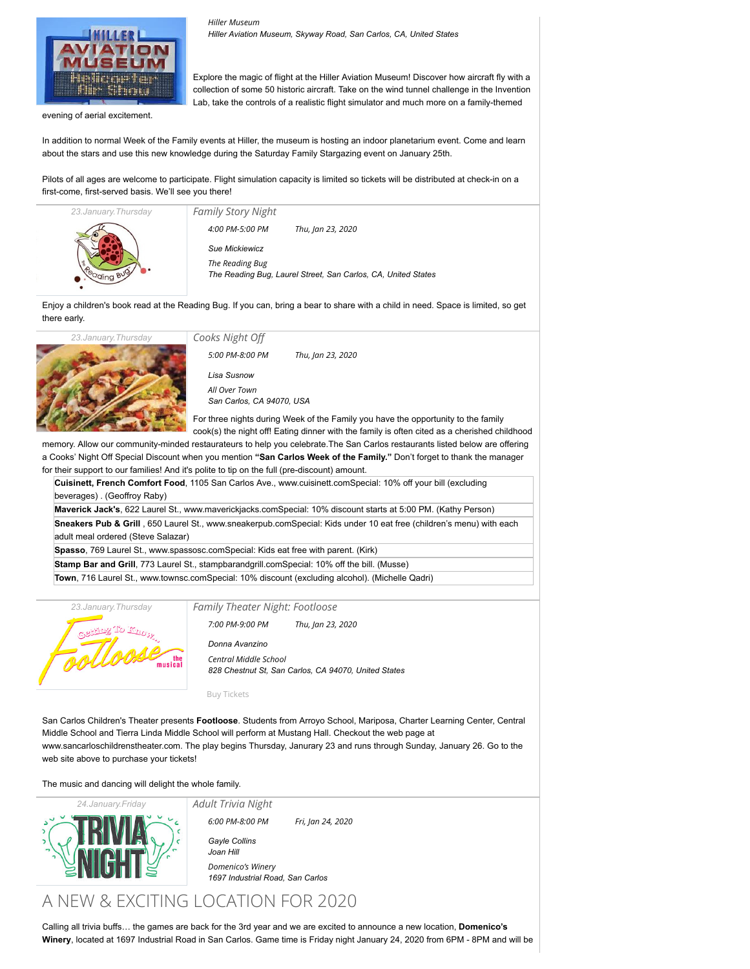

*[Hiller Museum](http://sancarlosweekofthefamily.org/venue/hiller-museum/) Hiller Aviation Museum, Skyway Road, San Carlos, CA, United States*

Explore the magic of flight at the Hiller Aviation Museum! Discover how aircraft fly with a collection of some 50 historic aircraft. Take on the wind tunnel challenge in the Invention Lab, take the controls of a realistic flight simulator and much more on a family-themed

evening of aerial excitement.

In addition to normal Week of the Family events at Hiller, the museum is hosting an indoor planetarium event. Come and learn about the stars and use this new knowledge during the Saturday Family Stargazing event on January 25th.

Pilots of all ages are welcome to participate. Flight simulation capacity is limited so tickets will be distributed at check-in on a first-come, first-served basis. We'll see you there!

| 23. January. Thursday | <b>Family Story Night</b> |                                                               |
|-----------------------|---------------------------|---------------------------------------------------------------|
|                       | 4:00 PM-5:00 PM           | Thu, Jan 23, 2020                                             |
|                       | <b>Sue Mickiewicz</b>     |                                                               |
|                       | The Reading Bug           |                                                               |
|                       |                           | The Reading Bug, Laurel Street, San Carlos, CA, United States |
|                       |                           |                                                               |

Enjoy a children's book read at the Reading Bug. If you can, bring a bear to share with a child in need. Space is limited, so get there early.



*[Cooks Night Off](http://sancarlosweekofthefamily.org/event/cooks-night-off/2020-01-23/) [Lisa Susnow](http://sancarlosweekofthefamily.org/organizer/lisa-susnow/) [All Over Town](http://sancarlosweekofthefamily.org/venue/all-over-town/) San Carlos, CA 94070, USA* For three nights during Week of the Family you have the opportunity to the family *5:00 PM-8:00 PM Thu, Jan 23, 2020*

cook(s) the night off! Eating dinner with the family is often cited as a cherished childhood

memory. Allow our community-minded restaurateurs to help you celebrate.The San Carlos restaurants listed below are offering a Cooks' Night Off Special Discount when you mention **"San Carlos Week of the Family."** Don't forget to thank the manager for their support to our families! And it's polite to tip on the full (pre-discount) amount.

|  | or their support to our families! And it's polite to tip on the full (pre-discount) amount.                         |
|--|---------------------------------------------------------------------------------------------------------------------|
|  | Cuisinett, French Comfort Food, 1105 San Carlos Ave., www.cuisinett.comSpecial: 10% off your bill (excluding        |
|  | beverages). (Geoffroy Raby)                                                                                         |
|  | Maverick Jack's, 622 Laurel St., www.maverickjacks.comSpecial: 10% discount starts at 5:00 PM. (Kathy Person)       |
|  | Sneakers Pub & Grill, 650 Laurel St., www.sneakerpub.comSpecial: Kids under 10 eat free (children's menu) with each |
|  | adult meal ordered (Steve Salazar)                                                                                  |
|  | Spasso, 769 Laurel St., www.spassosc.comSpecial: Kids eat free with parent. (Kirk)                                  |
|  | <b>Stamp Bar and Grill</b> , 773 Laurel St., stampbarandgrill.comSpecial: 10% off the bill. (Musse)                 |
|  |                                                                                                                     |

**Town**, 716 Laurel St., [www.townsc.comS](http://www.townsc.com/)pecial: 10% discount (excluding alcohol). (Michelle Qadri)



*[Family Theater Night: Footloose](http://sancarlosweekofthefamily.org/event/family-theater-day-2/2020-01-23/)*

*7:00 PM-9:00 PM Thu, Jan 23, 2020*

*[Donna Avanzino](http://sancarlosweekofthefamily.org/organizer/donna-avanzino/) [Central Middle School](http://sancarlosweekofthefamily.org/venue/central-middle-school/) 828 Chestnut St, San Carlos, CA 94070, United States*

[Buy Tickets](http://www.sancarloschildrenstheater.com/tickets/)

*[Adult Trivia Night](http://sancarlosweekofthefamily.org/event/adult-trivia-night/2020-01-24/)*

San Carlos Children's Theater presents **Footloose**. Students from Arroyo School, Mariposa, Charter Learning Center, Central Middle School and Tierra Linda Middle School will perform at Mustang Hall. Checkout the web page at [www.sancarloschildrenstheater.com](http://www.sancarloschildrenstheater.com/). The play begins Thursday, Janurary 23 and runs through Sunday, January 26. Go to the web site above to purchase your tickets!

The music and dancing will delight the whole family.



*6:00 PM-8:00 PM Fri, Jan 24, 2020*

*[Gayle Collins](http://sancarlosweekofthefamily.org/organizer/gayle-collins/) [Joan Hill](http://sancarlosweekofthefamily.org/organizer/joan-hill/) [Domenico's Winery](http://sancarlosweekofthefamily.org/venue/domenicos-winery/) 1697 Industrial Road, San Carlos*

## A NEW & EXCITING LOCATION FOR 2020

Calling all trivia buffs… the games are back for the 3rd year and we are excited to announce a new location, **Domenico's Winery**, located at 1697 Industrial Road in San Carlos. Game time is Friday night January 24, 2020 from 6PM - 8PM and will be